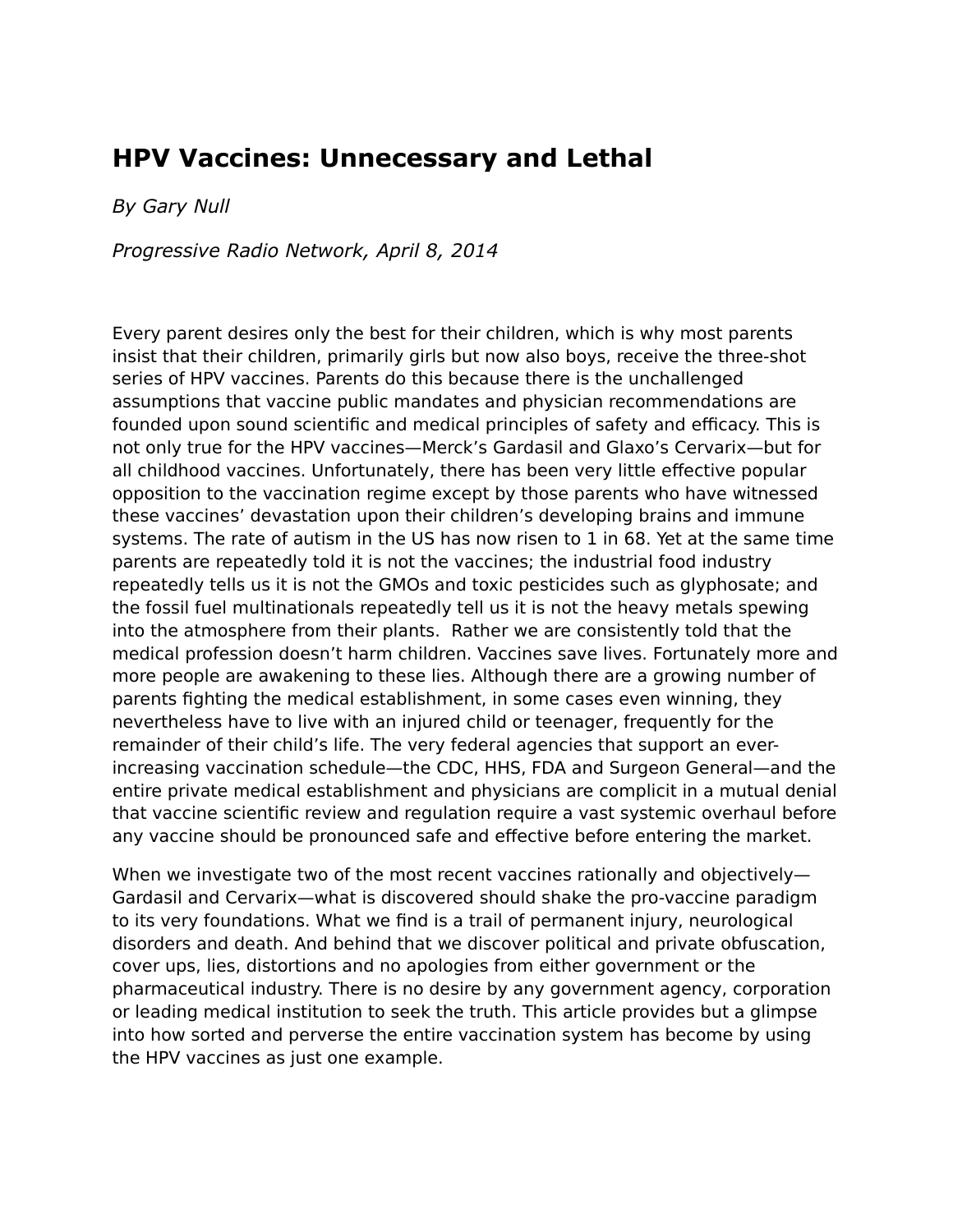# **HPV Vaccines: Unnecessary and Lethal**

*By Gary Null*

*Progressive Radio Network, April 8, 2014*

Every parent desires only the best for their children, which is why most parents insist that their children, primarily girls but now also boys, receive the three-shot series of HPV vaccines. Parents do this because there is the unchallenged assumptions that vaccine public mandates and physician recommendations are founded upon sound scientific and medical principles of safety and efficacy. This is not only true for the HPV vaccines—Merck's Gardasil and Glaxo's Cervarix—but for all childhood vaccines. Unfortunately, there has been very little effective popular opposition to the vaccination regime except by those parents who have witnessed these vaccines' devastation upon their children's developing brains and immune systems. The rate of autism in the US has now risen to 1 in 68. Yet at the same time parents are repeatedly told it is not the vaccines; the industrial food industry repeatedly tells us it is not the GMOs and toxic pesticides such as glyphosate; and the fossil fuel multinationals repeatedly tell us it is not the heavy metals spewing into the atmosphere from their plants. Rather we are consistently told that the medical profession doesn't harm children. Vaccines save lives. Fortunately more and more people are awakening to these lies. Although there are a growing number of parents fighting the medical establishment, in some cases even winning, they nevertheless have to live with an injured child or teenager, frequently for the remainder of their child's life. The very federal agencies that support an everincreasing vaccination schedule—the CDC, HHS, FDA and Surgeon General—and the entire private medical establishment and physicians are complicit in a mutual denial that vaccine scientific review and regulation require a vast systemic overhaul before any vaccine should be pronounced safe and effective before entering the market.

When we investigate two of the most recent vaccines rationally and objectively— Gardasil and Cervarix—what is discovered should shake the pro-vaccine paradigm to its very foundations. What we find is a trail of permanent injury, neurological disorders and death. And behind that we discover political and private obfuscation, cover ups, lies, distortions and no apologies from either government or the pharmaceutical industry. There is no desire by any government agency, corporation or leading medical institution to seek the truth. This article provides but a glimpse into how sorted and perverse the entire vaccination system has become by using the HPV vaccines as just one example.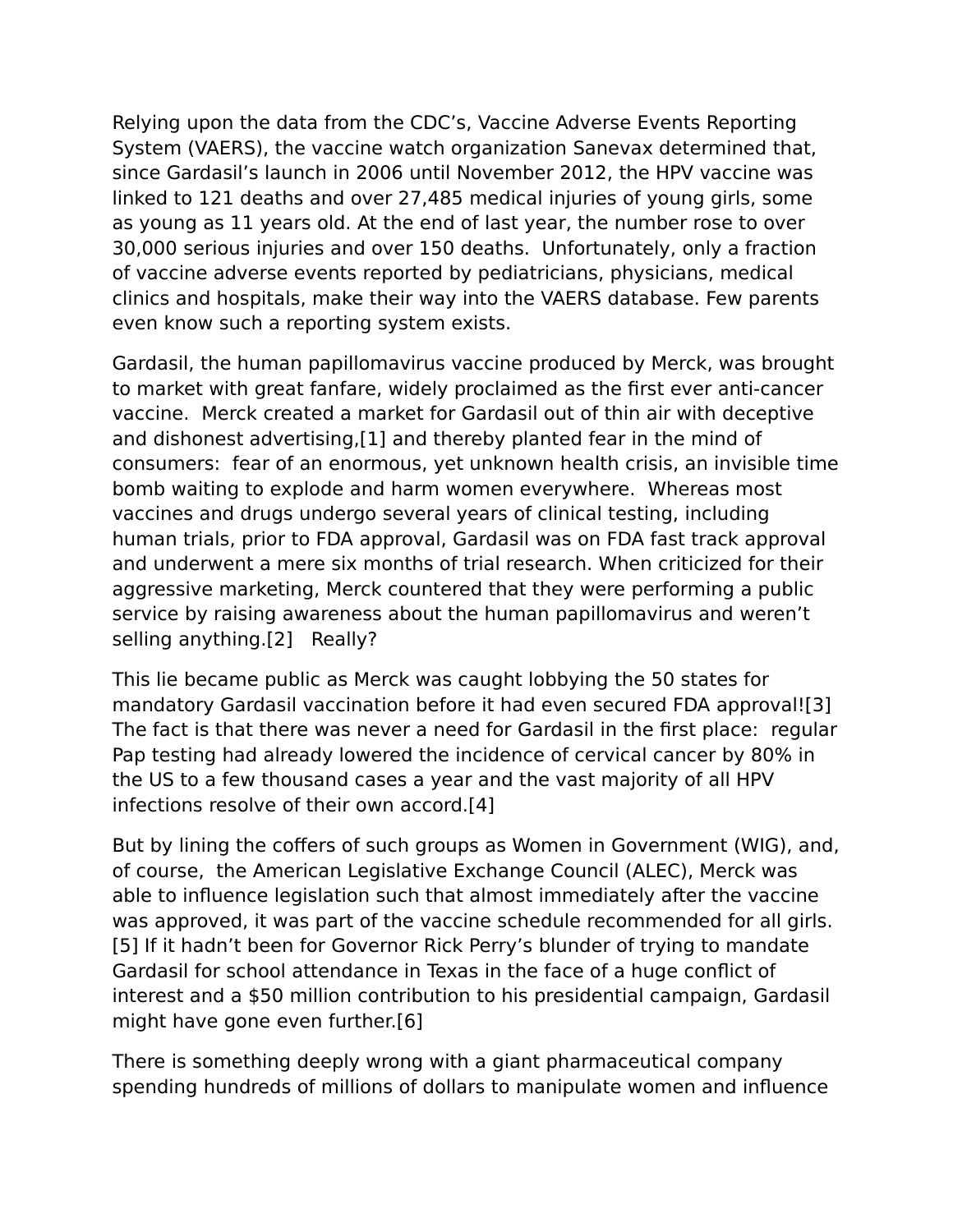Relying upon the data from the CDC's, Vaccine Adverse Events Reporting System (VAERS), the vaccine watch organization Sanevax determined that, since Gardasil's launch in 2006 until November 2012, the HPV vaccine was linked to 121 deaths and over 27,485 medical injuries of young girls, some as young as 11 years old. At the end of last year, the number rose to over 30,000 serious injuries and over 150 deaths. Unfortunately, only a fraction of vaccine adverse events reported by pediatricians, physicians, medical clinics and hospitals, make their way into the VAERS database. Few parents even know such a reporting system exists.

Gardasil, the human papillomavirus vaccine produced by Merck, was brought to market with great fanfare, widely proclaimed as the first ever anti-cancer vaccine. Merck created a market for Gardasil out of thin air with deceptive and dishonest advertising,[1] and thereby planted fear in the mind of consumers: fear of an enormous, yet unknown health crisis, an invisible time bomb waiting to explode and harm women everywhere. Whereas most vaccines and drugs undergo several years of clinical testing, including human trials, prior to FDA approval, Gardasil was on FDA fast track approval and underwent a mere six months of trial research. When criticized for their aggressive marketing, Merck countered that they were performing a public service by raising awareness about the human papillomavirus and weren't selling anything.[2] Really?

This lie became public as Merck was caught lobbying the 50 states for mandatory Gardasil vaccination before it had even secured FDA approval![3] The fact is that there was never a need for Gardasil in the first place: regular Pap testing had already lowered the incidence of cervical cancer by 80% in the US to a few thousand cases a year and the vast majority of all HPV infections resolve of their own accord.[4]

But by lining the coffers of such groups as Women in Government (WIG), and, of course, the American Legislative Exchange Council (ALEC), Merck was able to influence legislation such that almost immediately after the vaccine was approved, it was part of the vaccine schedule recommended for all girls. [5] If it hadn't been for Governor Rick Perry's blunder of trying to mandate Gardasil for school attendance in Texas in the face of a huge conflict of interest and a \$50 million contribution to his presidential campaign, Gardasil might have gone even further.[6]

There is something deeply wrong with a giant pharmaceutical company spending hundreds of millions of dollars to manipulate women and influence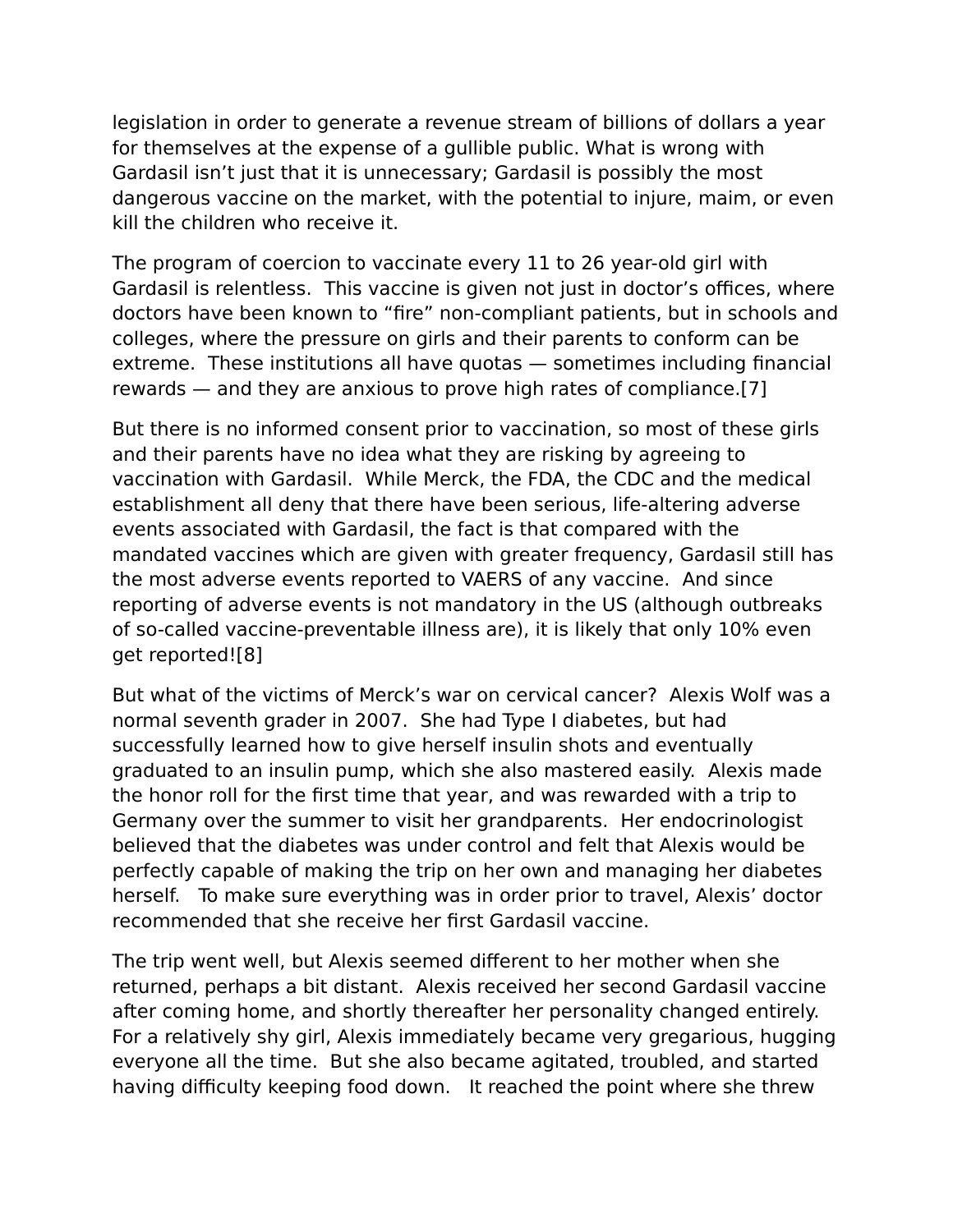legislation in order to generate a revenue stream of billions of dollars a year for themselves at the expense of a gullible public. What is wrong with Gardasil isn't just that it is unnecessary; Gardasil is possibly the most dangerous vaccine on the market, with the potential to injure, maim, or even kill the children who receive it.

The program of coercion to vaccinate every 11 to 26 year-old girl with Gardasil is relentless. This vaccine is given not just in doctor's offices, where doctors have been known to "fire" non-compliant patients, but in schools and colleges, where the pressure on girls and their parents to conform can be extreme. These institutions all have quotas — sometimes including financial rewards — and they are anxious to prove high rates of compliance.[7]

But there is no informed consent prior to vaccination, so most of these girls and their parents have no idea what they are risking by agreeing to vaccination with Gardasil. While Merck, the FDA, the CDC and the medical establishment all deny that there have been serious, life-altering adverse events associated with Gardasil, the fact is that compared with the mandated vaccines which are given with greater frequency, Gardasil still has the most adverse events reported to VAERS of any vaccine. And since reporting of adverse events is not mandatory in the US (although outbreaks of so-called vaccine-preventable illness are), it is likely that only 10% even get reported![8]

But what of the victims of Merck's war on cervical cancer? Alexis Wolf was a normal seventh grader in 2007. She had Type I diabetes, but had successfully learned how to give herself insulin shots and eventually graduated to an insulin pump, which she also mastered easily. Alexis made the honor roll for the first time that year, and was rewarded with a trip to Germany over the summer to visit her grandparents. Her endocrinologist believed that the diabetes was under control and felt that Alexis would be perfectly capable of making the trip on her own and managing her diabetes herself. To make sure everything was in order prior to travel, Alexis' doctor recommended that she receive her first Gardasil vaccine.

The trip went well, but Alexis seemed different to her mother when she returned, perhaps a bit distant. Alexis received her second Gardasil vaccine after coming home, and shortly thereafter her personality changed entirely. For a relatively shy girl, Alexis immediately became very gregarious, hugging everyone all the time. But she also became agitated, troubled, and started having difficulty keeping food down. It reached the point where she threw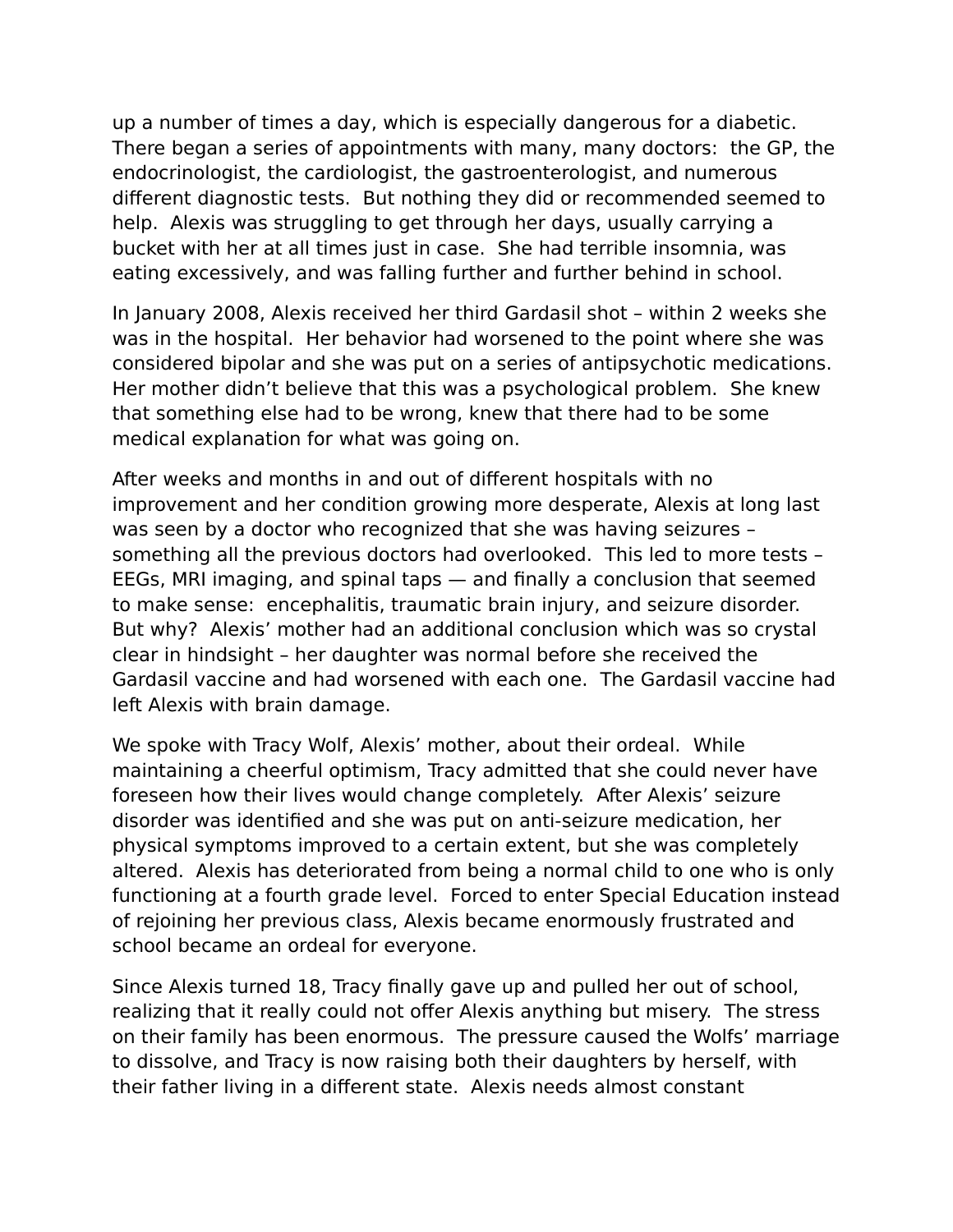up a number of times a day, which is especially dangerous for a diabetic. There began a series of appointments with many, many doctors: the GP, the endocrinologist, the cardiologist, the gastroenterologist, and numerous different diagnostic tests. But nothing they did or recommended seemed to help. Alexis was struggling to get through her days, usually carrying a bucket with her at all times just in case. She had terrible insomnia, was eating excessively, and was falling further and further behind in school.

In January 2008, Alexis received her third Gardasil shot – within 2 weeks she was in the hospital. Her behavior had worsened to the point where she was considered bipolar and she was put on a series of antipsychotic medications. Her mother didn't believe that this was a psychological problem. She knew that something else had to be wrong, knew that there had to be some medical explanation for what was going on.

After weeks and months in and out of different hospitals with no improvement and her condition growing more desperate, Alexis at long last was seen by a doctor who recognized that she was having seizures – something all the previous doctors had overlooked. This led to more tests – EEGs, MRI imaging, and spinal taps — and finally a conclusion that seemed to make sense: encephalitis, traumatic brain injury, and seizure disorder. But why? Alexis' mother had an additional conclusion which was so crystal clear in hindsight – her daughter was normal before she received the Gardasil vaccine and had worsened with each one. The Gardasil vaccine had left Alexis with brain damage.

We spoke with Tracy Wolf, Alexis' mother, about their ordeal. While maintaining a cheerful optimism, Tracy admitted that she could never have foreseen how their lives would change completely. After Alexis' seizure disorder was identified and she was put on anti-seizure medication, her physical symptoms improved to a certain extent, but she was completely altered. Alexis has deteriorated from being a normal child to one who is only functioning at a fourth grade level. Forced to enter Special Education instead of rejoining her previous class, Alexis became enormously frustrated and school became an ordeal for everyone.

Since Alexis turned 18, Tracy finally gave up and pulled her out of school, realizing that it really could not offer Alexis anything but misery. The stress on their family has been enormous. The pressure caused the Wolfs' marriage to dissolve, and Tracy is now raising both their daughters by herself, with their father living in a different state. Alexis needs almost constant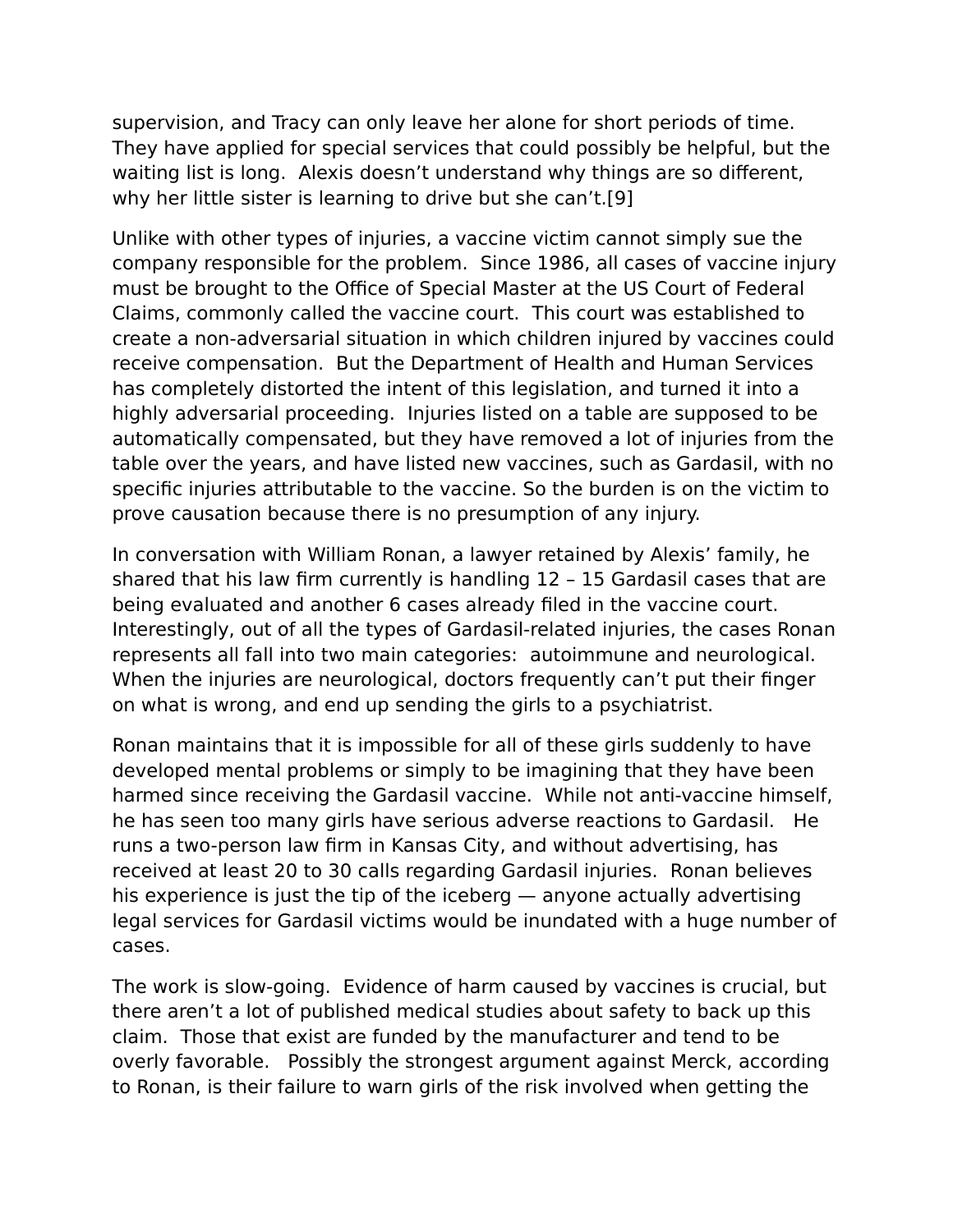supervision, and Tracy can only leave her alone for short periods of time. They have applied for special services that could possibly be helpful, but the waiting list is long. Alexis doesn't understand why things are so different, why her little sister is learning to drive but she can't.[9]

Unlike with other types of injuries, a vaccine victim cannot simply sue the company responsible for the problem. Since 1986, all cases of vaccine injury must be brought to the Office of Special Master at the US Court of Federal Claims, commonly called the vaccine court. This court was established to create a non-adversarial situation in which children injured by vaccines could receive compensation. But the Department of Health and Human Services has completely distorted the intent of this legislation, and turned it into a highly adversarial proceeding. Injuries listed on a table are supposed to be automatically compensated, but they have removed a lot of injuries from the table over the years, and have listed new vaccines, such as Gardasil, with no specific injuries attributable to the vaccine. So the burden is on the victim to prove causation because there is no presumption of any injury.

In conversation with William Ronan, a lawyer retained by Alexis' family, he shared that his law firm currently is handling 12 – 15 Gardasil cases that are being evaluated and another 6 cases already filed in the vaccine court. Interestingly, out of all the types of Gardasil-related injuries, the cases Ronan represents all fall into two main categories: autoimmune and neurological. When the injuries are neurological, doctors frequently can't put their finger on what is wrong, and end up sending the girls to a psychiatrist.

Ronan maintains that it is impossible for all of these girls suddenly to have developed mental problems or simply to be imagining that they have been harmed since receiving the Gardasil vaccine. While not anti-vaccine himself, he has seen too many girls have serious adverse reactions to Gardasil. He runs a two-person law firm in Kansas City, and without advertising, has received at least 20 to 30 calls regarding Gardasil injuries. Ronan believes his experience is just the tip of the iceberg — anyone actually advertising legal services for Gardasil victims would be inundated with a huge number of cases.

The work is slow-going. Evidence of harm caused by vaccines is crucial, but there aren't a lot of published medical studies about safety to back up this claim. Those that exist are funded by the manufacturer and tend to be overly favorable. Possibly the strongest argument against Merck, according to Ronan, is their failure to warn girls of the risk involved when getting the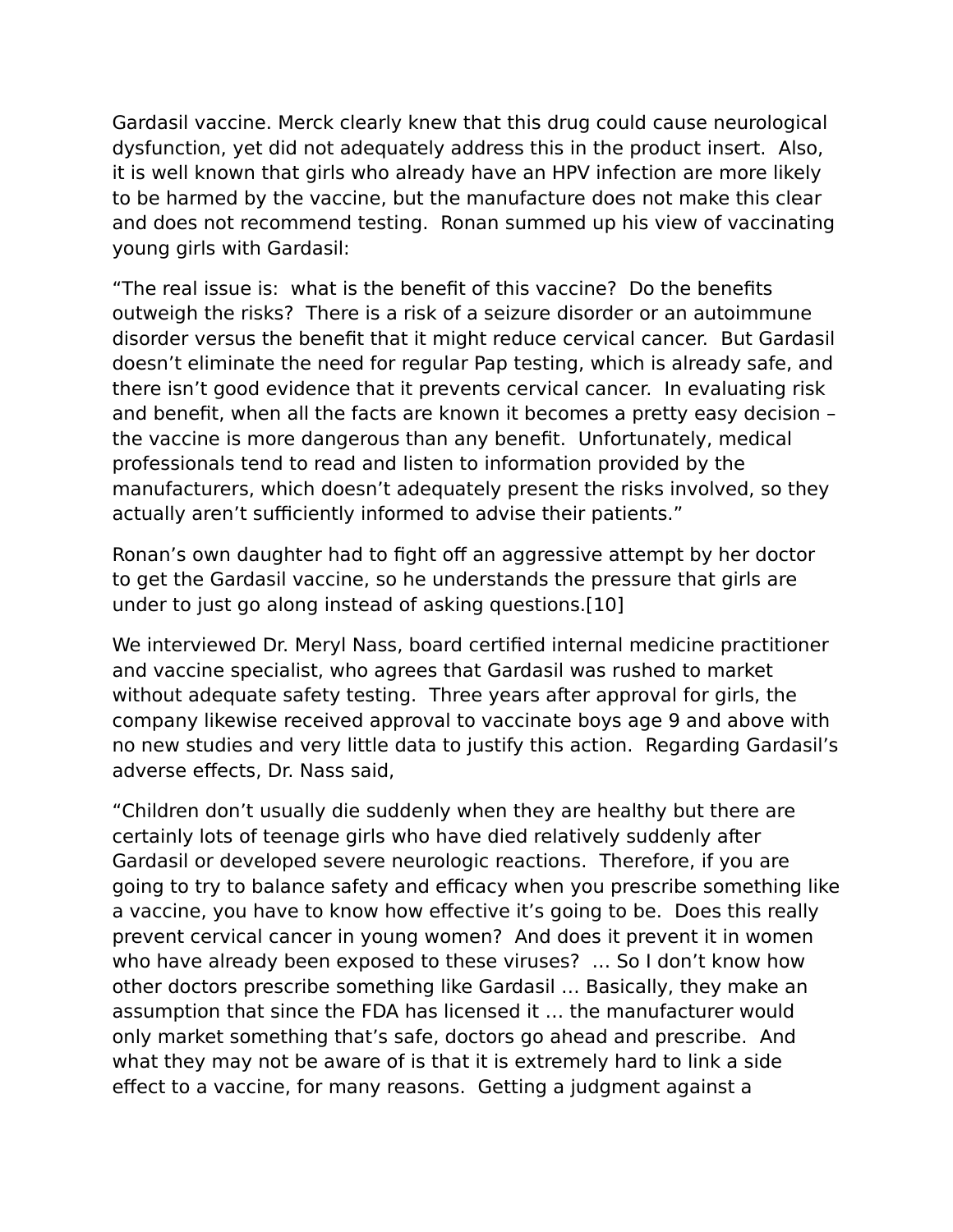Gardasil vaccine. Merck clearly knew that this drug could cause neurological dysfunction, yet did not adequately address this in the product insert. Also, it is well known that girls who already have an HPV infection are more likely to be harmed by the vaccine, but the manufacture does not make this clear and does not recommend testing. Ronan summed up his view of vaccinating young girls with Gardasil:

"The real issue is: what is the benefit of this vaccine? Do the benefits outweigh the risks? There is a risk of a seizure disorder or an autoimmune disorder versus the benefit that it might reduce cervical cancer. But Gardasil doesn't eliminate the need for regular Pap testing, which is already safe, and there isn't good evidence that it prevents cervical cancer. In evaluating risk and benefit, when all the facts are known it becomes a pretty easy decision – the vaccine is more dangerous than any benefit. Unfortunately, medical professionals tend to read and listen to information provided by the manufacturers, which doesn't adequately present the risks involved, so they actually aren't sufficiently informed to advise their patients."

Ronan's own daughter had to fight off an aggressive attempt by her doctor to get the Gardasil vaccine, so he understands the pressure that girls are under to just go along instead of asking questions.[10]

We interviewed Dr. Meryl Nass, board certified internal medicine practitioner and vaccine specialist, who agrees that Gardasil was rushed to market without adequate safety testing. Three years after approval for girls, the company likewise received approval to vaccinate boys age 9 and above with no new studies and very little data to justify this action. Regarding Gardasil's adverse effects, Dr. Nass said,

"Children don't usually die suddenly when they are healthy but there are certainly lots of teenage girls who have died relatively suddenly after Gardasil or developed severe neurologic reactions. Therefore, if you are going to try to balance safety and efficacy when you prescribe something like a vaccine, you have to know how effective it's going to be. Does this really prevent cervical cancer in young women? And does it prevent it in women who have already been exposed to these viruses? … So I don't know how other doctors prescribe something like Gardasil … Basically, they make an assumption that since the FDA has licensed it … the manufacturer would only market something that's safe, doctors go ahead and prescribe. And what they may not be aware of is that it is extremely hard to link a side effect to a vaccine, for many reasons. Getting a judgment against a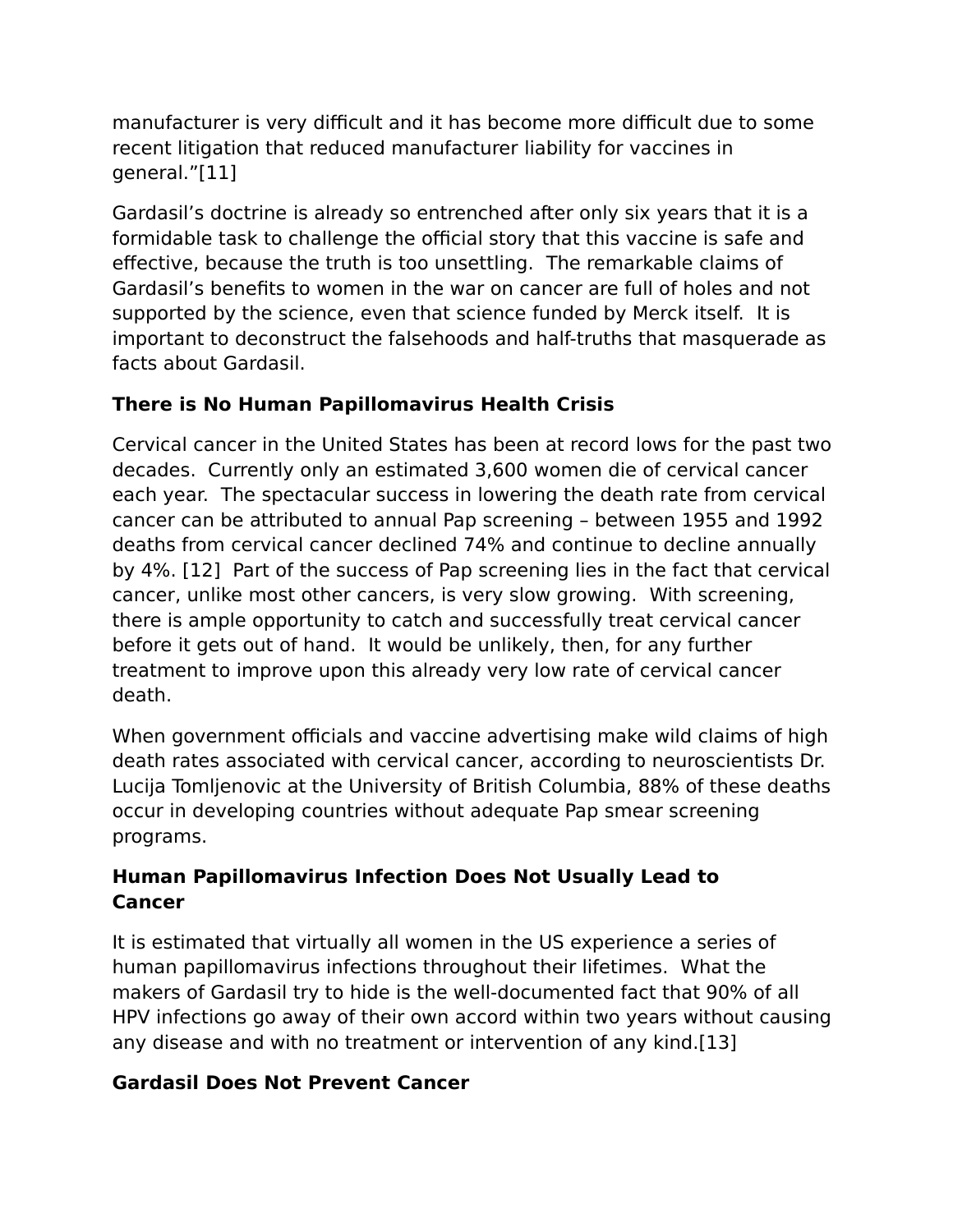manufacturer is very difficult and it has become more difficult due to some recent litigation that reduced manufacturer liability for vaccines in general."[11]

Gardasil's doctrine is already so entrenched after only six years that it is a formidable task to challenge the official story that this vaccine is safe and effective, because the truth is too unsettling. The remarkable claims of Gardasil's benefits to women in the war on cancer are full of holes and not supported by the science, even that science funded by Merck itself. It is important to deconstruct the falsehoods and half-truths that masquerade as facts about Gardasil.

# **There is No Human Papillomavirus Health Crisis**

Cervical cancer in the United States has been at record lows for the past two decades. Currently only an estimated 3,600 women die of cervical cancer each year. The spectacular success in lowering the death rate from cervical cancer can be attributed to annual Pap screening – between 1955 and 1992 deaths from cervical cancer declined 74% and continue to decline annually by 4%. [12] Part of the success of Pap screening lies in the fact that cervical cancer, unlike most other cancers, is very slow growing. With screening, there is ample opportunity to catch and successfully treat cervical cancer before it gets out of hand. It would be unlikely, then, for any further treatment to improve upon this already very low rate of cervical cancer death.

When government officials and vaccine advertising make wild claims of high death rates associated with cervical cancer, according to neuroscientists Dr. Lucija Tomljenovic at the University of British Columbia, 88% of these deaths occur in developing countries without adequate Pap smear screening programs.

### **Human Papillomavirus Infection Does Not Usually Lead to Cancer**

It is estimated that virtually all women in the US experience a series of human papillomavirus infections throughout their lifetimes. What the makers of Gardasil try to hide is the well-documented fact that 90% of all HPV infections go away of their own accord within two years without causing any disease and with no treatment or intervention of any kind.[13]

#### **Gardasil Does Not Prevent Cancer**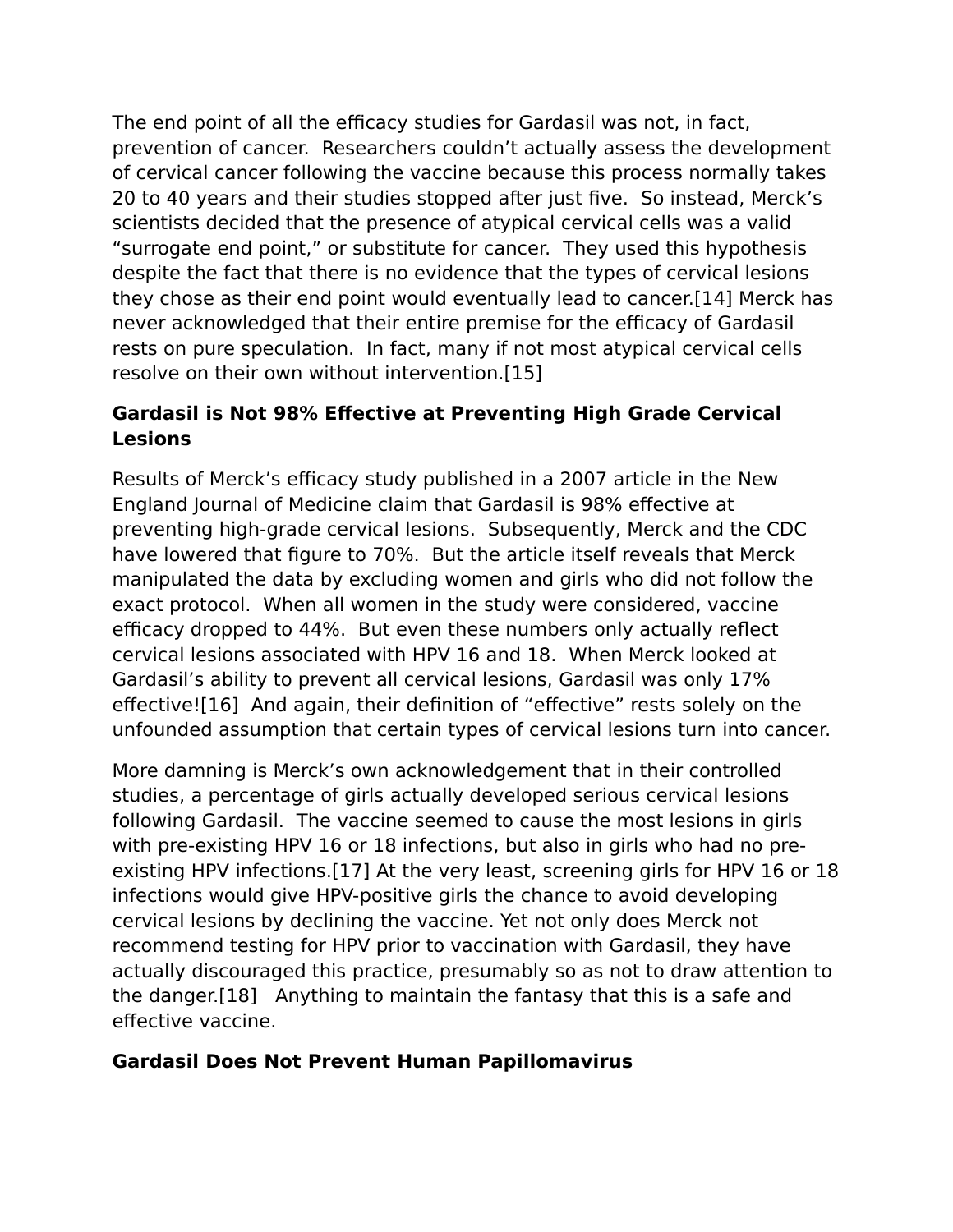The end point of all the efficacy studies for Gardasil was not, in fact, prevention of cancer. Researchers couldn't actually assess the development of cervical cancer following the vaccine because this process normally takes 20 to 40 years and their studies stopped after just five. So instead, Merck's scientists decided that the presence of atypical cervical cells was a valid "surrogate end point," or substitute for cancer. They used this hypothesis despite the fact that there is no evidence that the types of cervical lesions they chose as their end point would eventually lead to cancer.[14] Merck has never acknowledged that their entire premise for the efficacy of Gardasil rests on pure speculation. In fact, many if not most atypical cervical cells resolve on their own without intervention.[15]

# **Gardasil is Not 98% Effective at Preventing High Grade Cervical Lesions**

Results of Merck's efficacy study published in a 2007 article in the New England Journal of Medicine claim that Gardasil is 98% effective at preventing high-grade cervical lesions. Subsequently, Merck and the CDC have lowered that figure to 70%. But the article itself reveals that Merck manipulated the data by excluding women and girls who did not follow the exact protocol. When all women in the study were considered, vaccine efficacy dropped to 44%. But even these numbers only actually reflect cervical lesions associated with HPV 16 and 18. When Merck looked at Gardasil's ability to prevent all cervical lesions, Gardasil was only 17% effective![16] And again, their definition of "effective" rests solely on the unfounded assumption that certain types of cervical lesions turn into cancer.

More damning is Merck's own acknowledgement that in their controlled studies, a percentage of girls actually developed serious cervical lesions following Gardasil. The vaccine seemed to cause the most lesions in girls with pre-existing HPV 16 or 18 infections, but also in girls who had no preexisting HPV infections.[17] At the very least, screening girls for HPV 16 or 18 infections would give HPV-positive girls the chance to avoid developing cervical lesions by declining the vaccine. Yet not only does Merck not recommend testing for HPV prior to vaccination with Gardasil, they have actually discouraged this practice, presumably so as not to draw attention to the danger.[18] Anything to maintain the fantasy that this is a safe and effective vaccine.

#### **Gardasil Does Not Prevent Human Papillomavirus**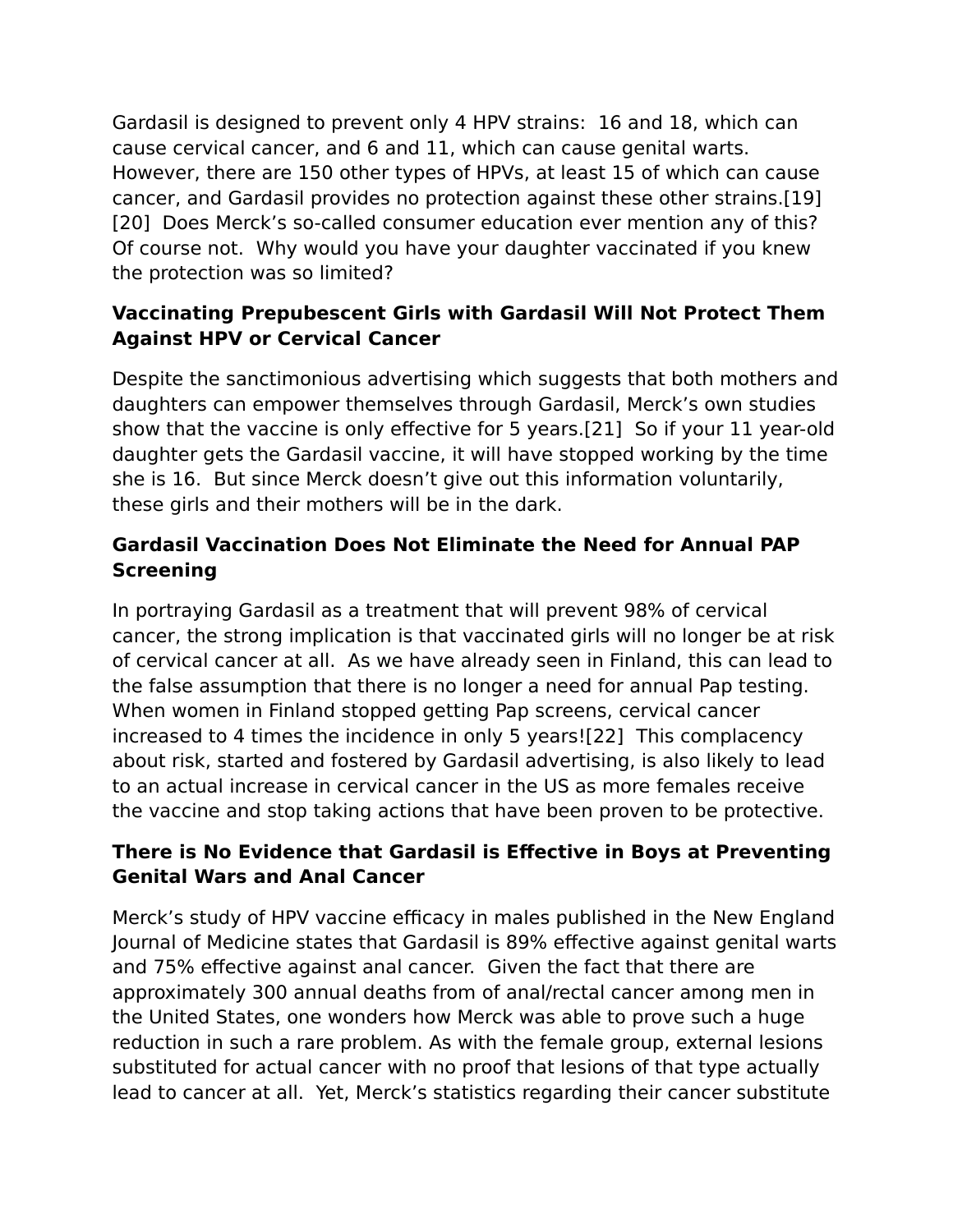Gardasil is designed to prevent only 4 HPV strains: 16 and 18, which can cause cervical cancer, and 6 and 11, which can cause genital warts. However, there are 150 other types of HPVs, at least 15 of which can cause cancer, and Gardasil provides no protection against these other strains.[19] [20] Does Merck's so-called consumer education ever mention any of this? Of course not. Why would you have your daughter vaccinated if you knew the protection was so limited?

### **Vaccinating Prepubescent Girls with Gardasil Will Not Protect Them Against HPV or Cervical Cancer**

Despite the sanctimonious advertising which suggests that both mothers and daughters can empower themselves through Gardasil, Merck's own studies show that the vaccine is only effective for 5 years.[21] So if your 11 year-old daughter gets the Gardasil vaccine, it will have stopped working by the time she is 16. But since Merck doesn't give out this information voluntarily, these girls and their mothers will be in the dark.

# **Gardasil Vaccination Does Not Eliminate the Need for Annual PAP Screening**

In portraying Gardasil as a treatment that will prevent 98% of cervical cancer, the strong implication is that vaccinated girls will no longer be at risk of cervical cancer at all. As we have already seen in Finland, this can lead to the false assumption that there is no longer a need for annual Pap testing. When women in Finland stopped getting Pap screens, cervical cancer increased to 4 times the incidence in only 5 years![22] This complacency about risk, started and fostered by Gardasil advertising, is also likely to lead to an actual increase in cervical cancer in the US as more females receive the vaccine and stop taking actions that have been proven to be protective.

### **There is No Evidence that Gardasil is Effective in Boys at Preventing Genital Wars and Anal Cancer**

Merck's study of HPV vaccine efficacy in males published in the New England Journal of Medicine states that Gardasil is 89% effective against genital warts and 75% effective against anal cancer. Given the fact that there are approximately 300 annual deaths from of anal/rectal cancer among men in the United States, one wonders how Merck was able to prove such a huge reduction in such a rare problem. As with the female group, external lesions substituted for actual cancer with no proof that lesions of that type actually lead to cancer at all. Yet, Merck's statistics regarding their cancer substitute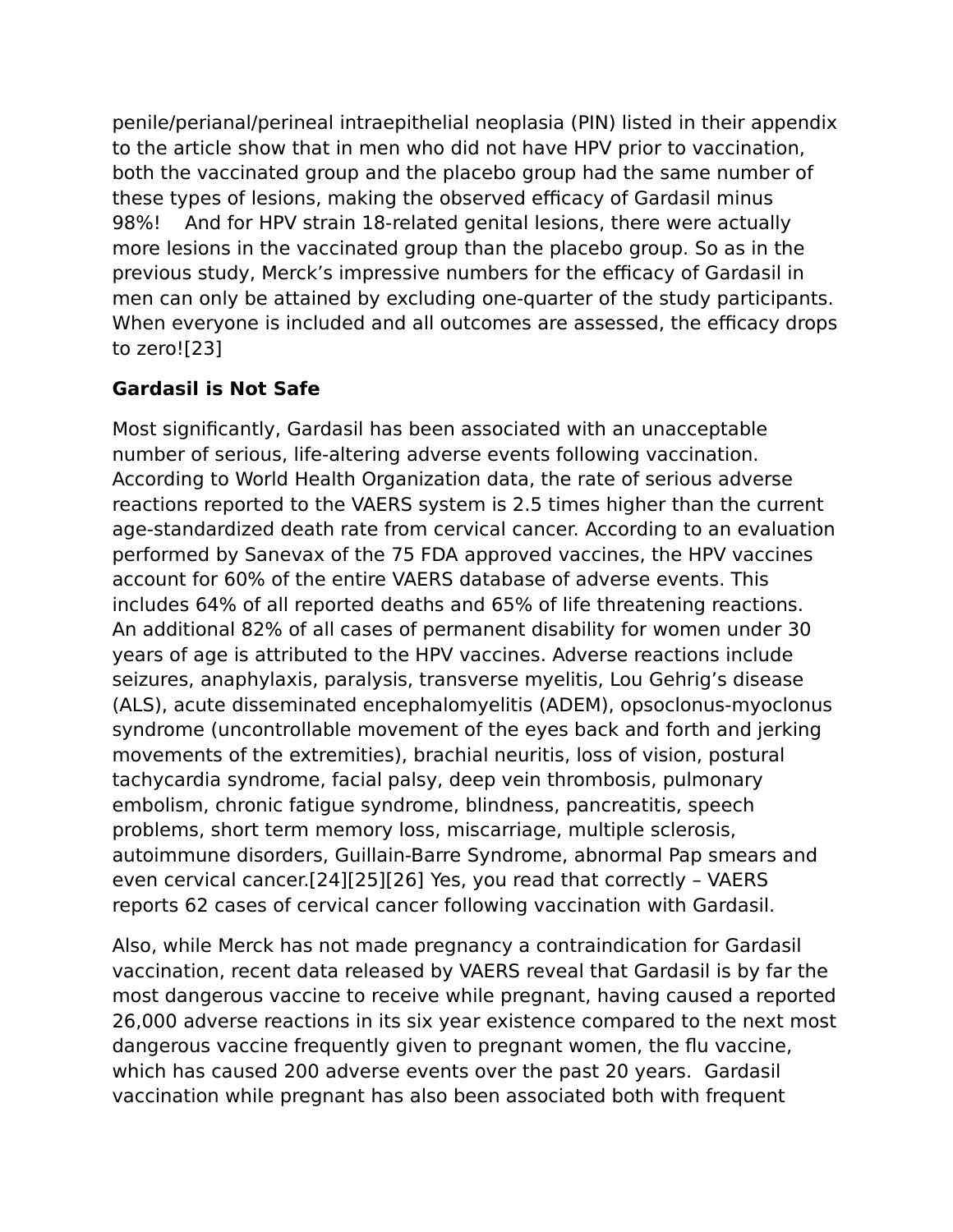penile/perianal/perineal intraepithelial neoplasia (PIN) listed in their appendix to the article show that in men who did not have HPV prior to vaccination, both the vaccinated group and the placebo group had the same number of these types of lesions, making the observed efficacy of Gardasil minus 98%! And for HPV strain 18-related genital lesions, there were actually more lesions in the vaccinated group than the placebo group. So as in the previous study, Merck's impressive numbers for the efficacy of Gardasil in men can only be attained by excluding one-quarter of the study participants. When everyone is included and all outcomes are assessed, the efficacy drops to zero![23]

# **Gardasil is Not Safe**

Most significantly, Gardasil has been associated with an unacceptable number of serious, life-altering adverse events following vaccination. According to World Health Organization data, the rate of serious adverse reactions reported to the VAERS system is 2.5 times higher than the current age-standardized death rate from cervical cancer. According to an evaluation performed by Sanevax of the 75 FDA approved vaccines, the HPV vaccines account for 60% of the entire VAERS database of adverse events. This includes 64% of all reported deaths and 65% of life threatening reactions. An additional 82% of all cases of permanent disability for women under 30 years of age is attributed to the HPV vaccines. Adverse reactions include seizures, anaphylaxis, paralysis, transverse myelitis, Lou Gehrig's disease (ALS), acute disseminated encephalomyelitis (ADEM), opsoclonus-myoclonus syndrome (uncontrollable movement of the eyes back and forth and jerking movements of the extremities), brachial neuritis, loss of vision, postural tachycardia syndrome, facial palsy, deep vein thrombosis, pulmonary embolism, chronic fatigue syndrome, blindness, pancreatitis, speech problems, short term memory loss, miscarriage, multiple sclerosis, autoimmune disorders, Guillain-Barre Syndrome, abnormal Pap smears and even cervical cancer.[24][25][26] Yes, you read that correctly – VAERS reports 62 cases of cervical cancer following vaccination with Gardasil.

Also, while Merck has not made pregnancy a contraindication for Gardasil vaccination, recent data released by VAERS reveal that Gardasil is by far the most dangerous vaccine to receive while pregnant, having caused a reported 26,000 adverse reactions in its six year existence compared to the next most dangerous vaccine frequently given to pregnant women, the flu vaccine, which has caused 200 adverse events over the past 20 years. Gardasil vaccination while pregnant has also been associated both with frequent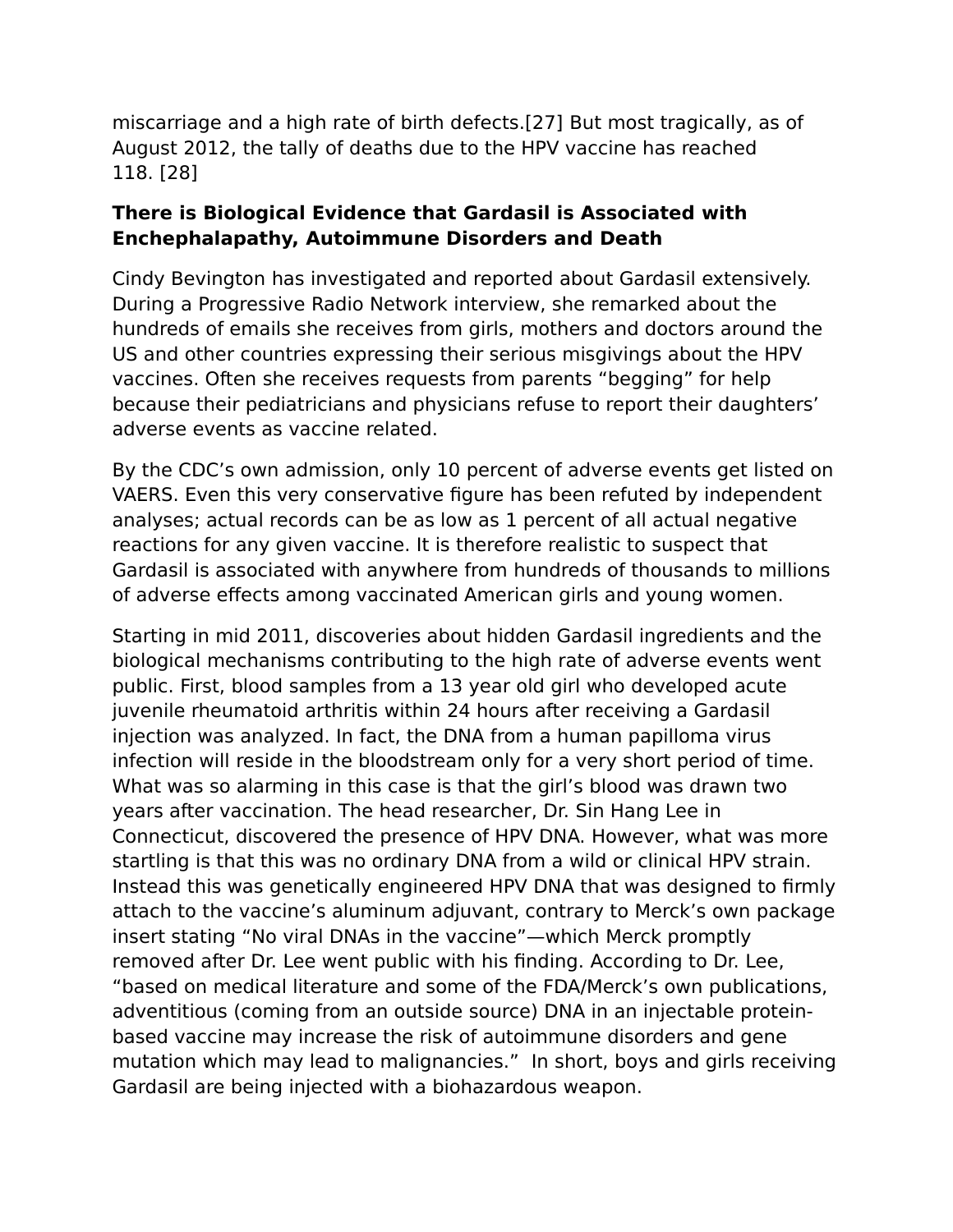miscarriage and a high rate of birth defects.[27] But most tragically, as of August 2012, the tally of deaths due to the HPV vaccine has reached 118. [28]

#### **There is Biological Evidence that Gardasil is Associated with Enchephalapathy, Autoimmune Disorders and Death**

Cindy Bevington has investigated and reported about Gardasil extensively. During a Progressive Radio Network interview, she remarked about the hundreds of emails she receives from girls, mothers and doctors around the US and other countries expressing their serious misgivings about the HPV vaccines. Often she receives requests from parents "begging" for help because their pediatricians and physicians refuse to report their daughters' adverse events as vaccine related.

By the CDC's own admission, only 10 percent of adverse events get listed on VAERS. Even this very conservative figure has been refuted by independent analyses; actual records can be as low as 1 percent of all actual negative reactions for any given vaccine. It is therefore realistic to suspect that Gardasil is associated with anywhere from hundreds of thousands to millions of adverse effects among vaccinated American girls and young women.

Starting in mid 2011, discoveries about hidden Gardasil ingredients and the biological mechanisms contributing to the high rate of adverse events went public. First, blood samples from a 13 year old girl who developed acute juvenile rheumatoid arthritis within 24 hours after receiving a Gardasil injection was analyzed. In fact, the DNA from a human papilloma virus infection will reside in the bloodstream only for a very short period of time. What was so alarming in this case is that the girl's blood was drawn two years after vaccination. The head researcher, Dr. Sin Hang Lee in Connecticut, discovered the presence of HPV DNA. However, what was more startling is that this was no ordinary DNA from a wild or clinical HPV strain. Instead this was genetically engineered HPV DNA that was designed to firmly attach to the vaccine's aluminum adjuvant, contrary to Merck's own package insert stating "No viral DNAs in the vaccine"—which Merck promptly removed after Dr. Lee went public with his finding. According to Dr. Lee, "based on medical literature and some of the FDA/Merck's own publications, adventitious (coming from an outside source) DNA in an injectable proteinbased vaccine may increase the risk of autoimmune disorders and gene mutation which may lead to malignancies." In short, boys and girls receiving Gardasil are being injected with a biohazardous weapon.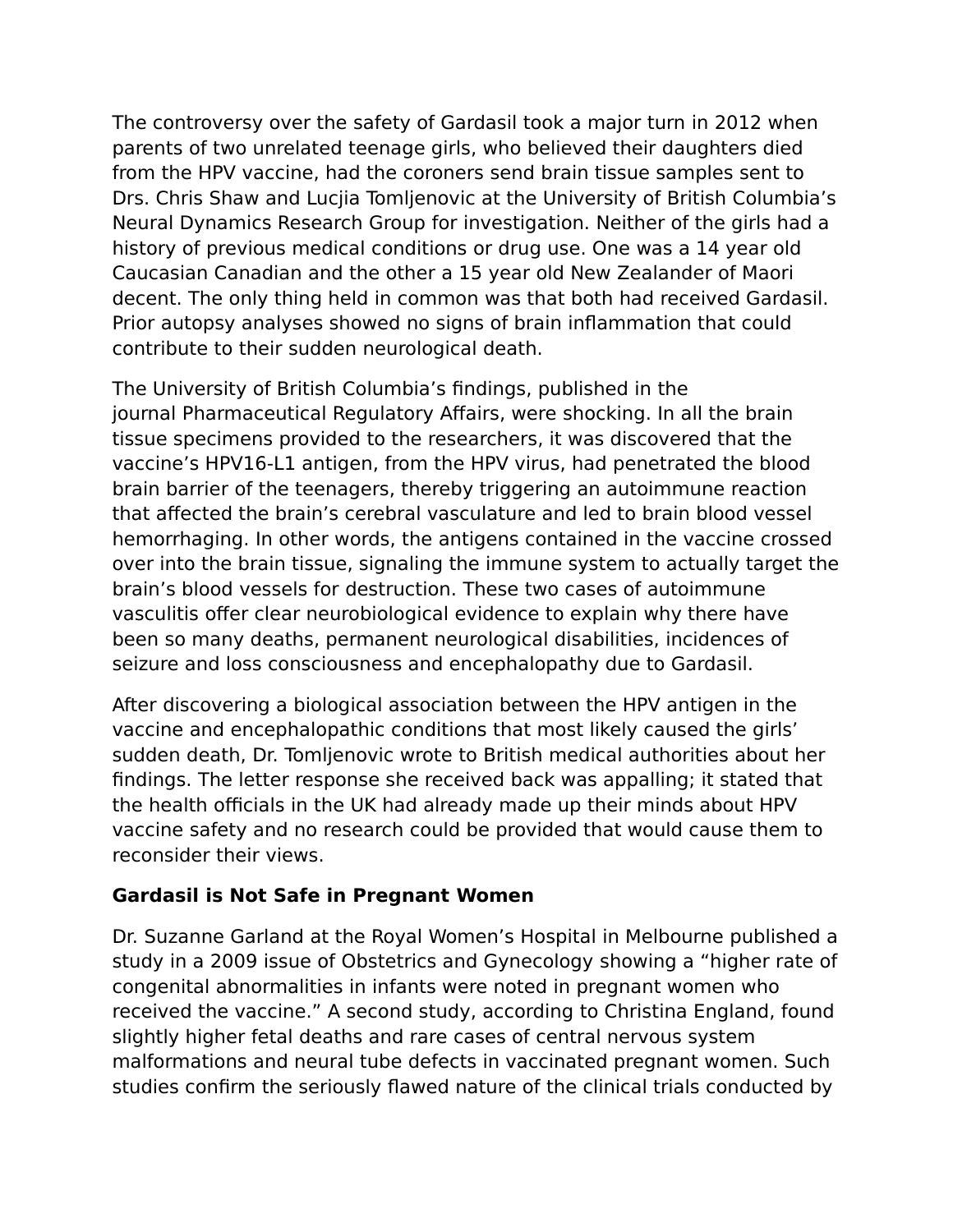The controversy over the safety of Gardasil took a major turn in 2012 when parents of two unrelated teenage girls, who believed their daughters died from the HPV vaccine, had the coroners send brain tissue samples sent to Drs. Chris Shaw and Lucjia Tomljenovic at the University of British Columbia's Neural Dynamics Research Group for investigation. Neither of the girls had a history of previous medical conditions or drug use. One was a 14 year old Caucasian Canadian and the other a 15 year old New Zealander of Maori decent. The only thing held in common was that both had received Gardasil. Prior autopsy analyses showed no signs of brain inflammation that could contribute to their sudden neurological death.

The University of British Columbia's findings, published in the journal Pharmaceutical Regulatory Affairs, were shocking. In all the brain tissue specimens provided to the researchers, it was discovered that the vaccine's HPV16-L1 antigen, from the HPV virus, had penetrated the blood brain barrier of the teenagers, thereby triggering an autoimmune reaction that affected the brain's cerebral vasculature and led to brain blood vessel hemorrhaging. In other words, the antigens contained in the vaccine crossed over into the brain tissue, signaling the immune system to actually target the brain's blood vessels for destruction. These two cases of autoimmune vasculitis offer clear neurobiological evidence to explain why there have been so many deaths, permanent neurological disabilities, incidences of seizure and loss consciousness and encephalopathy due to Gardasil.

After discovering a biological association between the HPV antigen in the vaccine and encephalopathic conditions that most likely caused the girls' sudden death, Dr. Tomljenovic wrote to British medical authorities about her findings. The letter response she received back was appalling; it stated that the health officials in the UK had already made up their minds about HPV vaccine safety and no research could be provided that would cause them to reconsider their views.

#### **Gardasil is Not Safe in Pregnant Women**

Dr. Suzanne Garland at the Royal Women's Hospital in Melbourne published a study in a 2009 issue of Obstetrics and Gynecology showing a "higher rate of congenital abnormalities in infants were noted in pregnant women who received the vaccine." A second study, according to Christina England, found slightly higher fetal deaths and rare cases of central nervous system malformations and neural tube defects in vaccinated pregnant women. Such studies confirm the seriously flawed nature of the clinical trials conducted by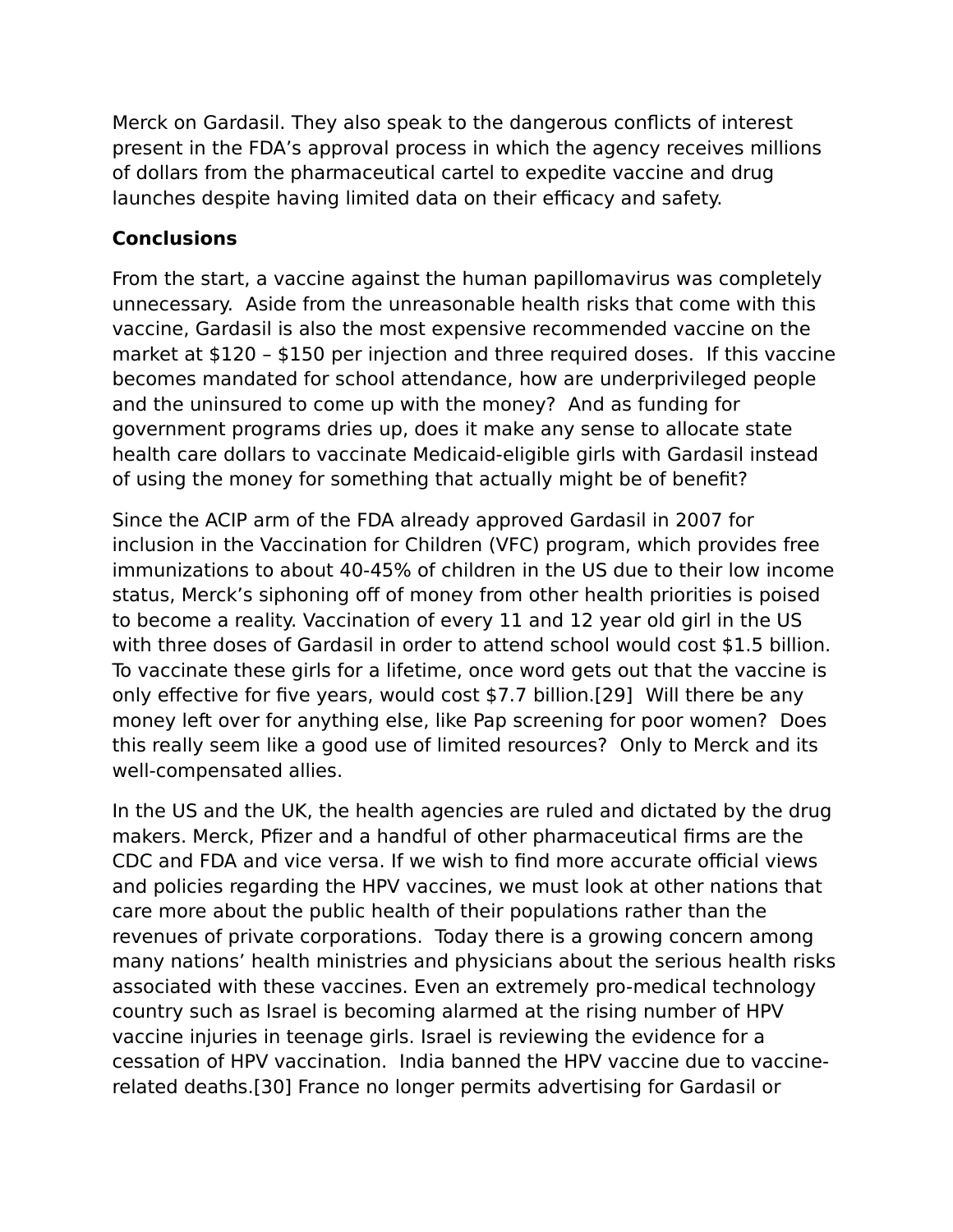Merck on Gardasil. They also speak to the dangerous conflicts of interest present in the FDA's approval process in which the agency receives millions of dollars from the pharmaceutical cartel to expedite vaccine and drug launches despite having limited data on their efficacy and safety.

### **Conclusions**

From the start, a vaccine against the human papillomavirus was completely unnecessary. Aside from the unreasonable health risks that come with this vaccine, Gardasil is also the most expensive recommended vaccine on the market at \$120 – \$150 per injection and three required doses. If this vaccine becomes mandated for school attendance, how are underprivileged people and the uninsured to come up with the money? And as funding for government programs dries up, does it make any sense to allocate state health care dollars to vaccinate Medicaid-eligible girls with Gardasil instead of using the money for something that actually might be of benefit?

Since the ACIP arm of the FDA already approved Gardasil in 2007 for inclusion in the Vaccination for Children (VFC) program, which provides free immunizations to about 40-45% of children in the US due to their low income status, Merck's siphoning off of money from other health priorities is poised to become a reality. Vaccination of every 11 and 12 year old girl in the US with three doses of Gardasil in order to attend school would cost \$1.5 billion. To vaccinate these girls for a lifetime, once word gets out that the vaccine is only effective for five years, would cost \$7.7 billion.[29] Will there be any money left over for anything else, like Pap screening for poor women? Does this really seem like a good use of limited resources? Only to Merck and its well-compensated allies.

In the US and the UK, the health agencies are ruled and dictated by the drug makers. Merck, Pfizer and a handful of other pharmaceutical firms are the CDC and FDA and vice versa. If we wish to find more accurate official views and policies regarding the HPV vaccines, we must look at other nations that care more about the public health of their populations rather than the revenues of private corporations. Today there is a growing concern among many nations' health ministries and physicians about the serious health risks associated with these vaccines. Even an extremely pro-medical technology country such as Israel is becoming alarmed at the rising number of HPV vaccine injuries in teenage girls. Israel is reviewing the evidence for a cessation of HPV vaccination. India banned the HPV vaccine due to vaccinerelated deaths.[30] France no longer permits advertising for Gardasil or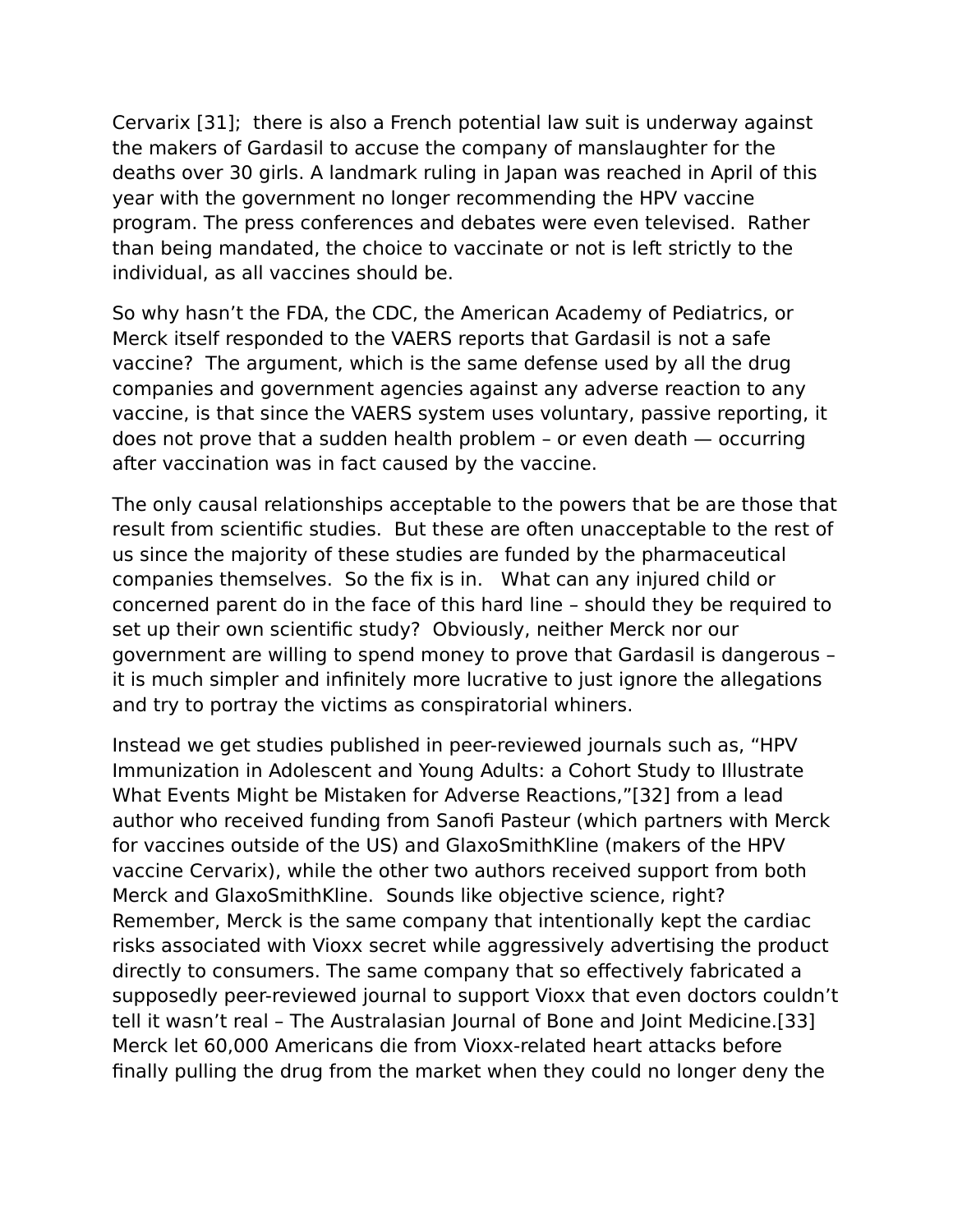Cervarix [31]; there is also a French potential law suit is underway against the makers of Gardasil to accuse the company of manslaughter for the deaths over 30 girls. A landmark ruling in Japan was reached in April of this year with the government no longer recommending the HPV vaccine program. The press conferences and debates were even televised. Rather than being mandated, the choice to vaccinate or not is left strictly to the individual, as all vaccines should be.

So why hasn't the FDA, the CDC, the American Academy of Pediatrics, or Merck itself responded to the VAERS reports that Gardasil is not a safe vaccine? The argument, which is the same defense used by all the drug companies and government agencies against any adverse reaction to any vaccine, is that since the VAERS system uses voluntary, passive reporting, it does not prove that a sudden health problem – or even death — occurring after vaccination was in fact caused by the vaccine.

The only causal relationships acceptable to the powers that be are those that result from scientific studies. But these are often unacceptable to the rest of us since the majority of these studies are funded by the pharmaceutical companies themselves. So the fix is in. What can any injured child or concerned parent do in the face of this hard line – should they be required to set up their own scientific study? Obviously, neither Merck nor our government are willing to spend money to prove that Gardasil is dangerous – it is much simpler and infinitely more lucrative to just ignore the allegations and try to portray the victims as conspiratorial whiners.

Instead we get studies published in peer-reviewed journals such as, "HPV Immunization in Adolescent and Young Adults: a Cohort Study to Illustrate What Events Might be Mistaken for Adverse Reactions,"[32] from a lead author who received funding from Sanofi Pasteur (which partners with Merck for vaccines outside of the US) and GlaxoSmithKline (makers of the HPV vaccine Cervarix), while the other two authors received support from both Merck and GlaxoSmithKline. Sounds like objective science, right? Remember, Merck is the same company that intentionally kept the cardiac risks associated with Vioxx secret while aggressively advertising the product directly to consumers. The same company that so effectively fabricated a supposedly peer-reviewed journal to support Vioxx that even doctors couldn't tell it wasn't real – The Australasian Journal of Bone and Joint Medicine.[33] Merck let 60,000 Americans die from Vioxx-related heart attacks before finally pulling the drug from the market when they could no longer deny the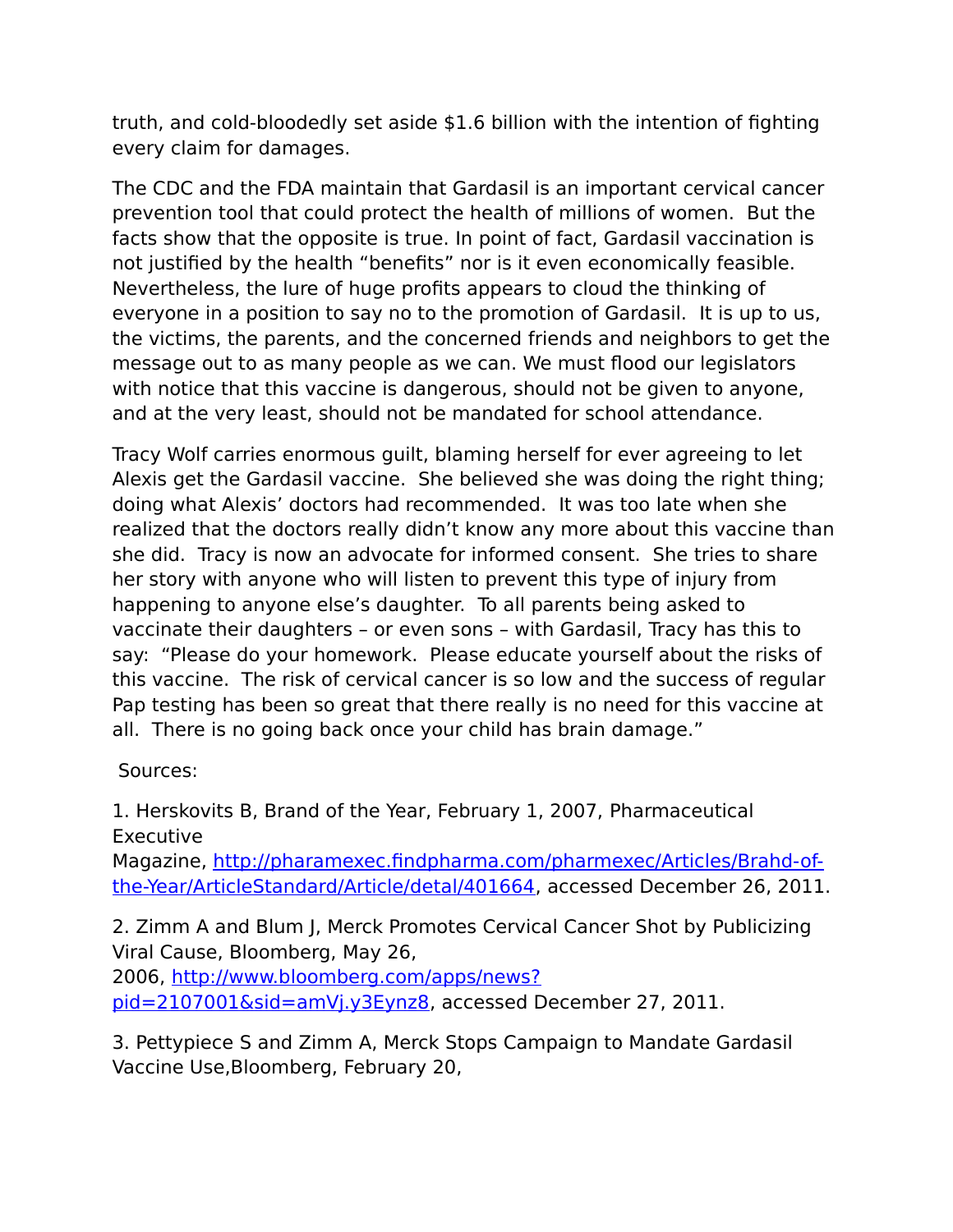truth, and cold-bloodedly set aside \$1.6 billion with the intention of fighting every claim for damages.

The CDC and the FDA maintain that Gardasil is an important cervical cancer prevention tool that could protect the health of millions of women. But the facts show that the opposite is true. In point of fact, Gardasil vaccination is not justified by the health "benefits" nor is it even economically feasible. Nevertheless, the lure of huge profits appears to cloud the thinking of everyone in a position to say no to the promotion of Gardasil. It is up to us, the victims, the parents, and the concerned friends and neighbors to get the message out to as many people as we can. We must flood our legislators with notice that this vaccine is dangerous, should not be given to anyone, and at the very least, should not be mandated for school attendance.

Tracy Wolf carries enormous guilt, blaming herself for ever agreeing to let Alexis get the Gardasil vaccine. She believed she was doing the right thing; doing what Alexis' doctors had recommended. It was too late when she realized that the doctors really didn't know any more about this vaccine than she did. Tracy is now an advocate for informed consent. She tries to share her story with anyone who will listen to prevent this type of injury from happening to anyone else's daughter. To all parents being asked to vaccinate their daughters – or even sons – with Gardasil, Tracy has this to say: "Please do your homework. Please educate yourself about the risks of this vaccine. The risk of cervical cancer is so low and the success of regular Pap testing has been so great that there really is no need for this vaccine at all. There is no going back once your child has brain damage."

Sources:

1. Herskovits B, Brand of the Year, February 1, 2007, Pharmaceutical Executive

Magazine, [http://pharamexec.findpharma.com/pharmexec/Articles/Brahd-of](http://pharamexec.findpharma.com/pharmexec/Articles/Brahd-of-the-Year/ArticleStandard/Article/detal/401664)[the-Year/ArticleStandard/Article/detal/401664,](http://pharamexec.findpharma.com/pharmexec/Articles/Brahd-of-the-Year/ArticleStandard/Article/detal/401664) accessed December 26, 2011.

2. Zimm A and Blum J, Merck Promotes Cervical Cancer Shot by Publicizing Viral Cause, Bloomberg, May 26,

2006, [http://www.bloomberg.com/apps/news?](http://www.bloomberg.com/apps/news?pid=2107001&sid=amVj.y3Eynz8) [pid=2107001&sid=amVj.y3Eynz8,](http://www.bloomberg.com/apps/news?pid=2107001&sid=amVj.y3Eynz8) accessed December 27, 2011.

3. Pettypiece S and Zimm A, Merck Stops Campaign to Mandate Gardasil Vaccine Use,Bloomberg, February 20,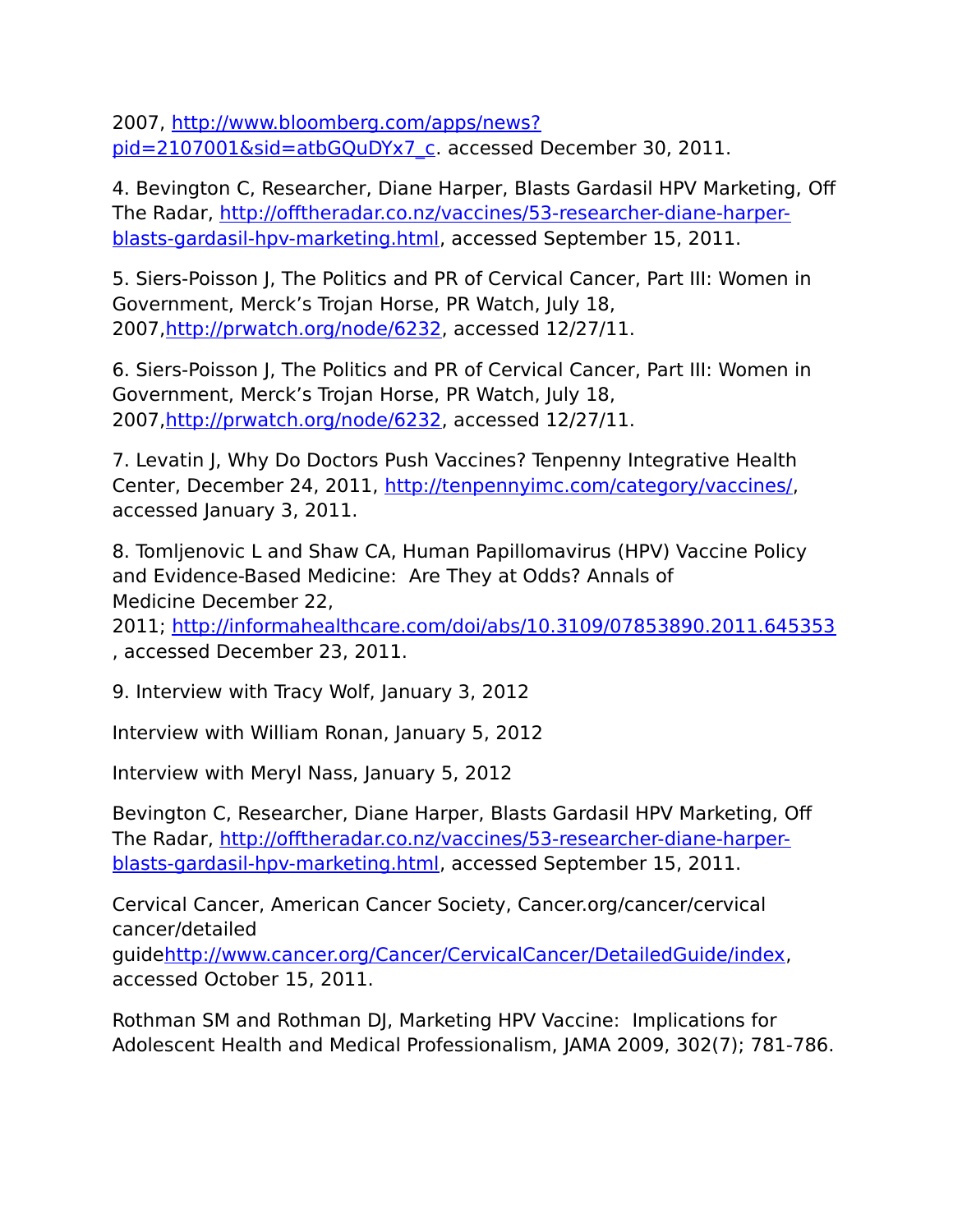2007, [http://www.bloomberg.com/apps/news?](http://www.bloomberg.com/apps/news?pid=2107001&sid=atbGQuDYx7_c) [pid=2107001&sid=atbGQuDYx7\\_c.](http://www.bloomberg.com/apps/news?pid=2107001&sid=atbGQuDYx7_c) accessed December 30, 2011.

4. Bevington C, Researcher, Diane Harper, Blasts Gardasil HPV Marketing, Off The Radar, [http://offtheradar.co.nz/vaccines/53-researcher-diane-harper](http://offtheradar.co.nz/vaccines/53-researcher-diane-harper-blasts-gardasil-hpv-marketing.html)[blasts-gardasil-hpv-marketing.html,](http://offtheradar.co.nz/vaccines/53-researcher-diane-harper-blasts-gardasil-hpv-marketing.html) accessed September 15, 2011.

5. Siers-Poisson J, The Politics and PR of Cervical Cancer, Part III: Women in Government, Merck's Trojan Horse, PR Watch, July 18, 2007[,http://prwatch.org/node/6232,](http://prwatch.org/node/6232) accessed 12/27/11.

6. Siers-Poisson J, The Politics and PR of Cervical Cancer, Part III: Women in Government, Merck's Trojan Horse, PR Watch, July 18, 2007[,http://prwatch.org/node/6232,](http://prwatch.org/node/6232) accessed 12/27/11.

7. Levatin J, Why Do Doctors Push Vaccines? Tenpenny Integrative Health Center, December 24, 2011, [http://tenpennyimc.com/category/vaccines/,](http://tenpennyimc.com/category/vaccines/) accessed January 3, 2011.

8. Tomljenovic L and Shaw CA, Human Papillomavirus (HPV) Vaccine Policy and Evidence-Based Medicine: Are They at Odds? Annals of Medicine December 22,

2011; <http://informahealthcare.com/doi/abs/10.3109/07853890.2011.645353> , accessed December 23, 2011.

9. Interview with Tracy Wolf, January 3, 2012

Interview with William Ronan, January 5, 2012

Interview with Meryl Nass, January 5, 2012

Bevington C, Researcher, Diane Harper, Blasts Gardasil HPV Marketing, Off The Radar, [http://offtheradar.co.nz/vaccines/53-researcher-diane-harper](http://offtheradar.co.nz/vaccines/53-researcher-diane-harper-blasts-gardasil-hpv-marketing.html)[blasts-gardasil-hpv-marketing.html,](http://offtheradar.co.nz/vaccines/53-researcher-diane-harper-blasts-gardasil-hpv-marketing.html) accessed September 15, 2011.

Cervical Cancer, American Cancer Society, Cancer.org/cancer/cervical cancer/detailed

guid[ehttp://www.cancer.org/Cancer/CervicalCancer/DetailedGuide/index,](http://www.cancer.org/Cancer/CervicalCancer/DetailedGuide/index) accessed October 15, 2011.

Rothman SM and Rothman DJ, Marketing HPV Vaccine: Implications for Adolescent Health and Medical Professionalism, JAMA 2009, 302(7); 781-786.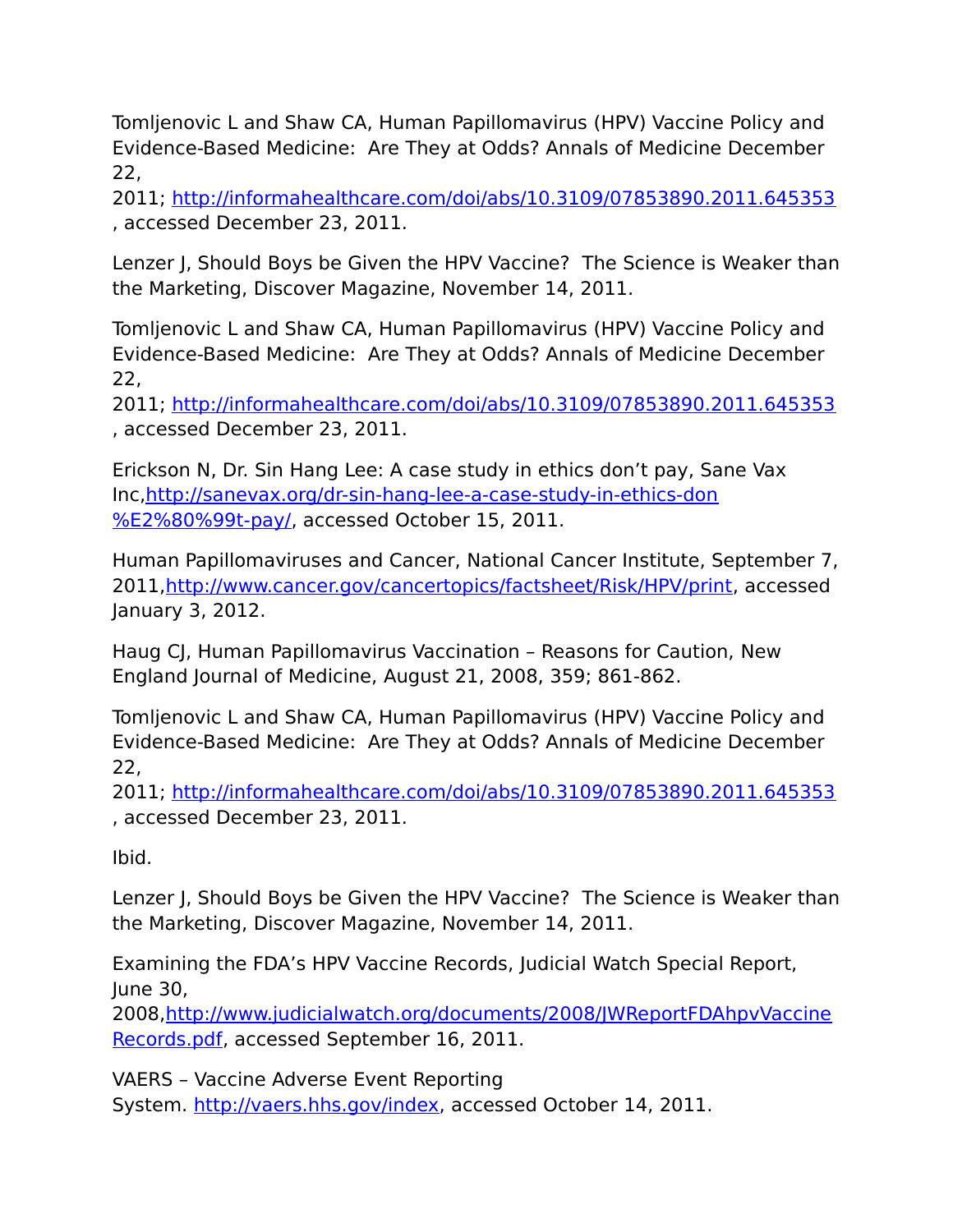Tomljenovic L and Shaw CA, Human Papillomavirus (HPV) Vaccine Policy and Evidence-Based Medicine: Are They at Odds? Annals of Medicine December 22,

2011; <http://informahealthcare.com/doi/abs/10.3109/07853890.2011.645353> , accessed December 23, 2011.

Lenzer J, Should Boys be Given the HPV Vaccine? The Science is Weaker than the Marketing, Discover Magazine, November 14, 2011.

Tomljenovic L and Shaw CA, Human Papillomavirus (HPV) Vaccine Policy and Evidence-Based Medicine: Are They at Odds? Annals of Medicine December 22,

2011; <http://informahealthcare.com/doi/abs/10.3109/07853890.2011.645353> , accessed December 23, 2011.

Erickson N, Dr. Sin Hang Lee: A case study in ethics don't pay, Sane Vax Inc[,http://sanevax.org/dr-sin-hang-lee-a-case-study-in-ethics-don](http://sanevax.org/dr-sin-hang-lee-a-case-study-in-ethics-don%E2%80%99t-pay/) [%E2%80%99t-pay/,](http://sanevax.org/dr-sin-hang-lee-a-case-study-in-ethics-don%E2%80%99t-pay/) accessed October 15, 2011.

Human Papillomaviruses and Cancer, National Cancer Institute, September 7, 2011[,http://www.cancer.gov/cancertopics/factsheet/Risk/HPV/print,](http://www.cancer.gov/cancertopics/factsheet/Risk/HPV/print) accessed January 3, 2012.

Haug CJ, Human Papillomavirus Vaccination – Reasons for Caution, New England Journal of Medicine, August 21, 2008, 359; 861-862.

Tomljenovic L and Shaw CA, Human Papillomavirus (HPV) Vaccine Policy and Evidence-Based Medicine: Are They at Odds? Annals of Medicine December 22,

2011; <http://informahealthcare.com/doi/abs/10.3109/07853890.2011.645353> , accessed December 23, 2011.

Ibid.

Lenzer J, Should Boys be Given the HPV Vaccine? The Science is Weaker than the Marketing, Discover Magazine, November 14, 2011.

Examining the FDA's HPV Vaccine Records, Judicial Watch Special Report, June 30,

2008[,http://www.judicialwatch.org/documents/2008/JWReportFDAhpvVaccine](http://www.judicialwatch.org/documents/2008/JWReportFDAhpvVaccineRecords.pdf) [Records.pdf,](http://www.judicialwatch.org/documents/2008/JWReportFDAhpvVaccineRecords.pdf) accessed September 16, 2011.

VAERS – Vaccine Adverse Event Reporting

System. [http://vaers.hhs.gov/index,](http://vaers.hhs.gov/index) accessed October 14, 2011.